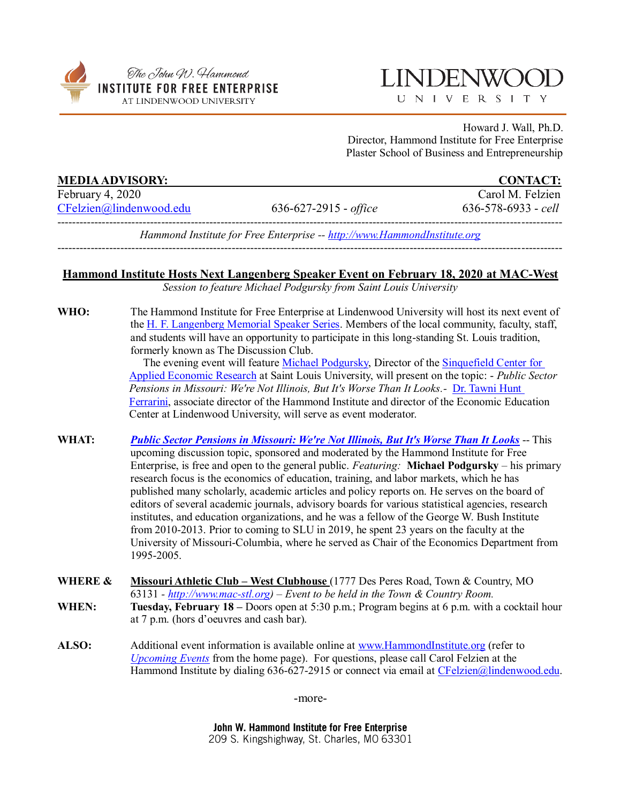

## **LINDENWO**

UNIVERSITY

Howard J. Wall, Ph.D. Director, Hammond Institute for Free Enterprise Plaster School of Business and Entrepreneurship

| <b>MEDIA ADVISORY:</b>  |                                                                          | <b>CONTACT:</b>           |
|-------------------------|--------------------------------------------------------------------------|---------------------------|
| February 4, 2020        |                                                                          | Carol M. Felzien          |
| CFelzien@lindenwood.edu | $636 - 627 - 2915$ - office                                              | $636 - 578 - 6933 -$ cell |
|                         | Hammond Institute for Free Enterprise -- http://www.HammondInstitute.org |                           |

## **Hammond Institute Hosts Next Langenberg Speaker Event on February 18, 2020 at MAC-West**

*Session to feature Michael Podgursky from Saint Louis University*

WHO: The Hammond Institute for Free Enterprise at Lindenwood University will host its next event of the [H. F. Langenberg Memorial Speaker Series.](http://www.lindenwood.edu/academics/centers-institutes/the-hammond-institute/events/) Members of the local community, faculty, staff, and students will have an opportunity to participate in this long-standing St. Louis tradition, formerly known as The Discussion Club.

> The evening event will feature [Michael Podgursky,](https://www.slu.edu/news/2019/july/applied-economic-research-center-director-named.php) Director of the [Sinquefield Center for](https://www.slu.edu/research/sinquefield-center-for-applied-economic-research/index.php) [Applied Economic Research](https://www.slu.edu/research/sinquefield-center-for-applied-economic-research/index.php) at Saint Louis University, will present on the topic: - *Public Sector Pensions in Missouri: We're Not Illinois, But It's Worse Than It Looks.-* [Dr. Tawni Hunt](https://www.hammondinstitute.org/tawni-ferrarini)  [Ferrarini,](https://www.hammondinstitute.org/tawni-ferrarini) associate director of the Hammond Institute and director of the Economic Education Center at Lindenwood University, will serve as event moderator.

- **WHAT:** *[Public Sector Pensions in Missouri: We're Not Illinois, But It's Worse Than It Looks](https://www.hammondinstitute.org/)* -- This upcoming discussion topic, sponsored and moderated by the Hammond Institute for Free Enterprise, is free and open to the general public. *Featuring:* **Michael Podgursky** – his primary research focus is the economics of education, training, and labor markets, which he has published many scholarly, academic articles and policy reports on. He serves on the board of editors of several academic journals, advisory boards for various statistical agencies, research institutes, and education organizations, and he was a fellow of the George W. Bush Institute from 2010-2013. Prior to coming to SLU in 2019, he spent 23 years on the faculty at the University of Missouri-Columbia, where he served as Chair of the Economics Department from 1995-2005.
- **WHERE & Missouri Athletic Club – West Clubhouse** (1777 Des Peres Road, Town & Country, MO 63131 *- [http://www.mac-stl.org\)](http://www.mac-stl.org/) – Event to be held in the Town & Country Room.* **WHEN: Tuesday, February 18 –** Doors open at 5:30 p.m.; Program begins at 6 p.m. with a cocktail hour at 7 p.m. (hors d'oeuvres and cash bar).
- **ALSO:** Additional event information is available online at [www.HammondInstitute.org](http://www.hammondinstitute.org/) (refer to *[Upcoming Events](http://www.lindenwood.edu/academics/centers-institutes/the-hammond-institute/events/)* from the home page). For questions, please call Carol Felzien at the Hammond Institute by dialing 636-627-2915 or connect via email at [CFelzien@lindenwood.edu.](mailto:CFelzien@lindenwood.edu)

-more-

John W. Hammond Institute for Free Enterprise 209 S. Kingshighway, St. Charles, MO 63301